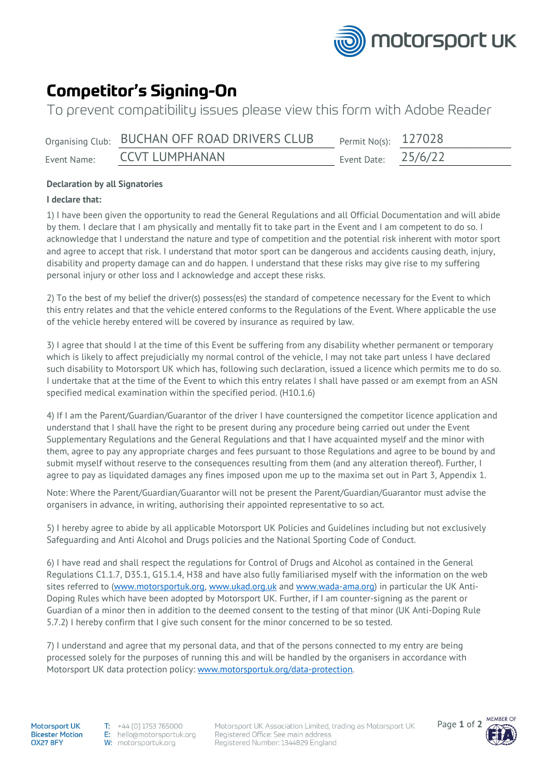

# **Competitor's Signing-On**

To prevent compatibility issues please view this form with Adobe Reader

|             | Organising Club: BUCHAN OFF ROAD DRIVERS CLUB | Permit No(s): $127028$ |  |
|-------------|-----------------------------------------------|------------------------|--|
| Event Name: | <b>CCVT LUMPHANAN</b>                         | Event Date: $25/6/22$  |  |

## **Declaration by all Signatories**

## **I declare that:**

1) I have been given the opportunity to read the General Regulations and all Official Documentation and will abide by them. I declare that I am physically and mentally fit to take part in the Event and I am competent to do so. I acknowledge that I understand the nature and type of competition and the potential risk inherent with motor sport and agree to accept that risk. I understand that motor sport can be dangerous and accidents causing death, injury, disability and property damage can and do happen. I understand that these risks may give rise to my suffering personal injury or other loss and I acknowledge and accept these risks.

2) To the best of my belief the driver(s) possess(es) the standard of competence necessary for the Event to which this entry relates and that the vehicle entered conforms to the Regulations of the Event. Where applicable the use of the vehicle hereby entered will be covered by insurance as required by law.

3) I agree that should I at the time of this Event be suffering from any disability whether permanent or temporary which is likely to affect prejudicially my normal control of the vehicle, I may not take part unless I have declared such disability to Motorsport UK which has, following such declaration, issued a licence which permits me to do so. I undertake that at the time of the Event to which this entry relates I shall have passed or am exempt from an ASN specified medical examination within the specified period. (H10.1.6)

4) If I am the Parent/Guardian/Guarantor of the driver I have countersigned the competitor licence application and understand that I shall have the right to be present during any procedure being carried out under the Event Supplementary Regulations and the General Regulations and that I have acquainted myself and the minor with them, agree to pay any appropriate charges and fees pursuant to those Regulations and agree to be bound by and submit myself without reserve to the consequences resulting from them (and any alteration thereof). Further, I agree to pay as liquidated damages any fines imposed upon me up to the maxima set out in Part 3, Appendix 1.

Note: Where the Parent/Guardian/Guarantor will not be present the Parent/Guardian/Guarantor must advise the organisers in advance, in writing, authorising their appointed representative to so act.

5) I hereby agree to abide by all applicable Motorsport UK Policies and Guidelines including but not exclusively Safeguarding and Anti Alcohol and Drugs policies and the National Sporting Code of Conduct.

6) I have read and shall respect the regulations for Control of Drugs and Alcohol as contained in the General Regulations C1.1.7, D35.1, G15.1.4, H38 and have also fully familiarised myself with the information on the web sites referred to [\(www.motorsportuk.org,](http://www.motorsportuk.org/) [www.ukad.org.uk](http://www.ukad.org.uk/) and [www.wada-ama.org\)](http://www.wada-ama.org/) in particular the UK Anti-Doping Rules which have been adopted by Motorsport UK. Further, if I am counter-signing as the parent or Guardian of a minor then in addition to the deemed consent to the testing of that minor (UK Anti-Doping Rule 5.7.2) I hereby confirm that I give such consent for the minor concerned to be so tested.

7) I understand and agree that my personal data, and that of the persons connected to my entry are being processed solely for the purposes of running this and will be handled by the organisers in accordance with Motorsport UK data protection policy: [www.motorsportuk.org/data-protection.](http://www.motorsportuk.org/data-protection)